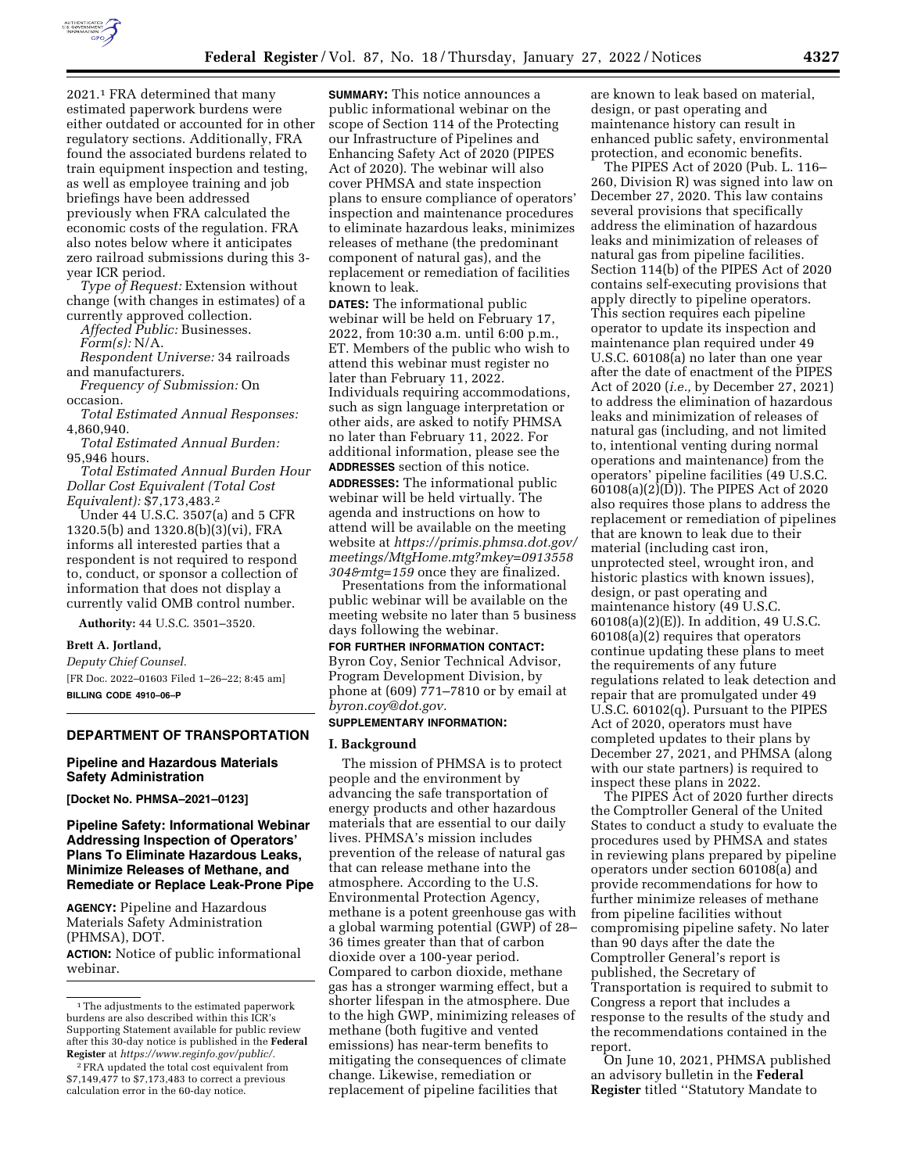

2021.1 FRA determined that many estimated paperwork burdens were either outdated or accounted for in other regulatory sections. Additionally, FRA found the associated burdens related to train equipment inspection and testing, as well as employee training and job briefings have been addressed previously when FRA calculated the economic costs of the regulation. FRA also notes below where it anticipates zero railroad submissions during this 3 year ICR period.

*Type of Request:* Extension without change (with changes in estimates) of a currently approved collection.

*Affected Public:* Businesses.

*Form(s):* N/A.

*Respondent Universe:* 34 railroads and manufacturers.

*Frequency of Submission:* On occasion.

*Total Estimated Annual Responses:*  4,860,940.

*Total Estimated Annual Burden:*  95,946 hours.

*Total Estimated Annual Burden Hour Dollar Cost Equivalent (Total Cost Equivalent):* \$7,173,483.2

Under 44 U.S.C. 3507(a) and 5 CFR 1320.5(b) and 1320.8(b)(3)(vi), FRA informs all interested parties that a respondent is not required to respond to, conduct, or sponsor a collection of information that does not display a currently valid OMB control number.

**Authority:** 44 U.S.C. 3501–3520.

## **Brett A. Jortland,**

*Deputy Chief Counsel.*  [FR Doc. 2022–01603 Filed 1–26–22; 8:45 am] **BILLING CODE 4910–06–P** 

# **DEPARTMENT OF TRANSPORTATION**

#### **Pipeline and Hazardous Materials Safety Administration**

**[Docket No. PHMSA–2021–0123]** 

# **Pipeline Safety: Informational Webinar Addressing Inspection of Operators' Plans To Eliminate Hazardous Leaks, Minimize Releases of Methane, and Remediate or Replace Leak-Prone Pipe**

**AGENCY:** Pipeline and Hazardous Materials Safety Administration (PHMSA), DOT. **ACTION:** Notice of public informational webinar.

**SUMMARY:** This notice announces a public informational webinar on the scope of Section 114 of the Protecting our Infrastructure of Pipelines and Enhancing Safety Act of 2020 (PIPES Act of 2020). The webinar will also cover PHMSA and state inspection plans to ensure compliance of operators' inspection and maintenance procedures to eliminate hazardous leaks, minimizes releases of methane (the predominant component of natural gas), and the replacement or remediation of facilities known to leak.

**DATES:** The informational public webinar will be held on February 17, 2022, from 10:30 a.m. until 6:00 p.m., ET. Members of the public who wish to attend this webinar must register no later than February 11, 2022. Individuals requiring accommodations, such as sign language interpretation or other aids, are asked to notify PHMSA no later than February 11, 2022. For additional information, please see the **ADDRESSES** section of this notice.

**ADDRESSES:** The informational public webinar will be held virtually. The agenda and instructions on how to attend will be available on the meeting website at *[https://primis.phmsa.dot.gov/](https://primis.phmsa.dot.gov/meetings/MtgHome.mtg?mkey=0913558304&mtg=159)  [meetings/MtgHome.mtg?mkey=0913558](https://primis.phmsa.dot.gov/meetings/MtgHome.mtg?mkey=0913558304&mtg=159) [304&mtg=159](https://primis.phmsa.dot.gov/meetings/MtgHome.mtg?mkey=0913558304&mtg=159)* once they are finalized.

Presentations from the informational public webinar will be available on the meeting website no later than 5 business days following the webinar.

## **FOR FURTHER INFORMATION CONTACT:**

Byron Coy, Senior Technical Advisor, Program Development Division, by phone at (609) 771–7810 or by email at *[byron.coy@dot.gov.](mailto:byron.coy@dot.gov)* 

# **SUPPLEMENTARY INFORMATION:**

#### **I. Background**

The mission of PHMSA is to protect people and the environment by advancing the safe transportation of energy products and other hazardous materials that are essential to our daily lives. PHMSA's mission includes prevention of the release of natural gas that can release methane into the atmosphere. According to the U.S. Environmental Protection Agency, methane is a potent greenhouse gas with a global warming potential (GWP) of 28– 36 times greater than that of carbon dioxide over a 100-year period. Compared to carbon dioxide, methane gas has a stronger warming effect, but a shorter lifespan in the atmosphere. Due to the high GWP, minimizing releases of methane (both fugitive and vented emissions) has near-term benefits to mitigating the consequences of climate change. Likewise, remediation or replacement of pipeline facilities that

are known to leak based on material, design, or past operating and maintenance history can result in enhanced public safety, environmental protection, and economic benefits.

The PIPES Act of 2020 (Pub. L. 116– 260, Division R) was signed into law on December 27, 2020. This law contains several provisions that specifically address the elimination of hazardous leaks and minimization of releases of natural gas from pipeline facilities. Section 114(b) of the PIPES Act of 2020 contains self-executing provisions that apply directly to pipeline operators. This section requires each pipeline operator to update its inspection and maintenance plan required under 49 U.S.C. 60108(a) no later than one year after the date of enactment of the PIPES Act of 2020 (*i.e.,* by December 27, 2021) to address the elimination of hazardous leaks and minimization of releases of natural gas (including, and not limited to, intentional venting during normal operations and maintenance) from the operators' pipeline facilities (49 U.S.C. 60108(a)(2)(D)). The PIPES Act of 2020 also requires those plans to address the replacement or remediation of pipelines that are known to leak due to their material (including cast iron, unprotected steel, wrought iron, and historic plastics with known issues), design, or past operating and maintenance history (49 U.S.C. 60108(a)(2)(E)). In addition, 49 U.S.C. 60108(a)(2) requires that operators continue updating these plans to meet the requirements of any future regulations related to leak detection and repair that are promulgated under 49 U.S.C. 60102(q). Pursuant to the PIPES Act of 2020, operators must have completed updates to their plans by December 27, 2021, and PHMSA (along with our state partners) is required to inspect these plans in 2022.

The PIPES Act of 2020 further directs the Comptroller General of the United States to conduct a study to evaluate the procedures used by PHMSA and states in reviewing plans prepared by pipeline operators under section 60108(a) and provide recommendations for how to further minimize releases of methane from pipeline facilities without compromising pipeline safety. No later than 90 days after the date the Comptroller General's report is published, the Secretary of Transportation is required to submit to Congress a report that includes a response to the results of the study and the recommendations contained in the report.

On June 10, 2021, PHMSA published an advisory bulletin in the **Federal Register** titled ''Statutory Mandate to

<sup>&</sup>lt;sup>1</sup>The adjustments to the estimated paperwork burdens are also described within this ICR's Supporting Statement available for public review after this 30-day notice is published in the **Federal Register** at *[https://www.reginfo.gov/public/.](https://www.reginfo.gov/public/)* 

<sup>2</sup>FRA updated the total cost equivalent from \$7,149,477 to \$7,173,483 to correct a previous calculation error in the 60-day notice.